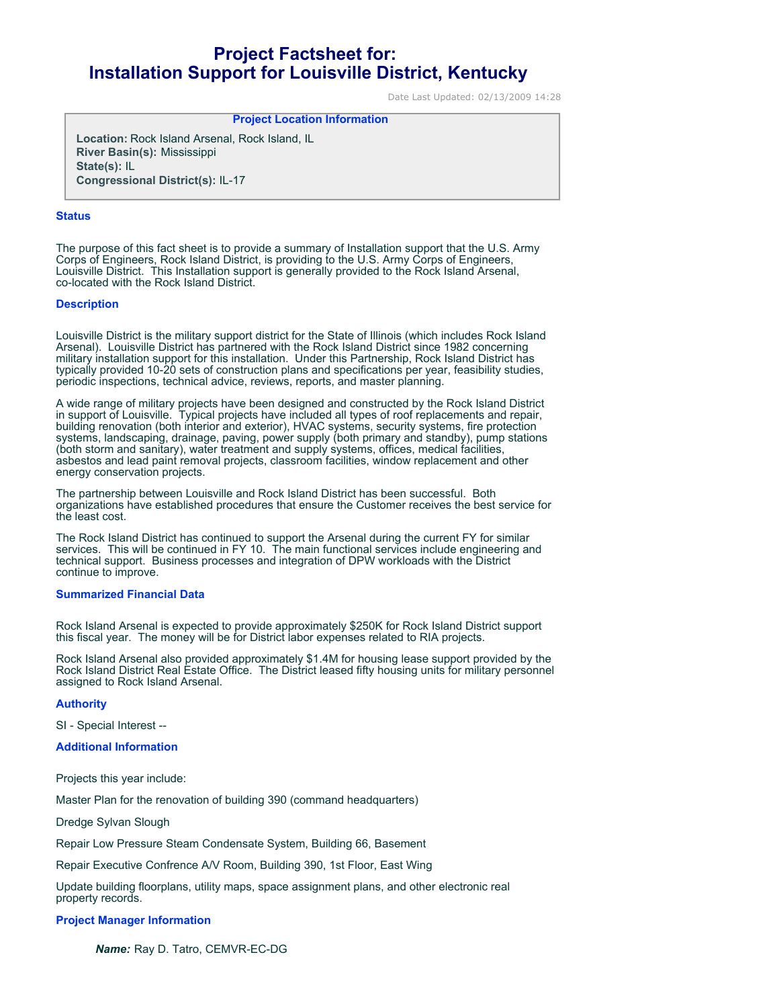# **Project Factsheet for: Installation Support for Louisville District, Kentucky**

Date Last Updated: 02/13/2009 14:28

# **Project Location Information**

**Location:** Rock Island Arsenal, Rock Island, IL **River Basin(s):** Mississippi **State(s):** IL **Congressional District(s):** IL-17

#### **Status**

The purpose of this fact sheet is to provide a summary of Installation support that the U.S. Army Corps of Engineers, Rock Island District, is providing to the U.S. Army Corps of Engineers, Louisville District. This Installation support is generally provided to the Rock Island Arsenal, co-located with the Rock Island District.

#### **Description**

Louisville District is the military support district for the State of Illinois (which includes Rock Island Arsenal). Louisville District has partnered with the Rock Island District since 1982 concerning military installation support for this installation. Under this Partnership, Rock Island District has typically provided 10-20 sets of construction plans and specifications per year, feasibility studies, periodic inspections, technical advice, reviews, reports, and master planning.

A wide range of military projects have been designed and constructed by the Rock Island District in support of Louisville. Typical projects have included all types of roof replacements and repair, building renovation (both interior and exterior), HVAC systems, security systems, fire protection systems, landscaping, drainage, paving, power supply (both primary and standby), pump stations (both storm and sanitary), water treatment and supply systems, offices, medical facilities, asbestos and lead paint removal projects, classroom facilities, window replacement and other energy conservation projects.

The partnership between Louisville and Rock Island District has been successful. Both organizations have established procedures that ensure the Customer receives the best service for the least cost.

The Rock Island District has continued to support the Arsenal during the current FY for similar services. This will be continued in FY 10. The main functional services include engineering and technical support. Business processes and integration of DPW workloads with the District continue to improve.

#### **Summarized Financial Data**

Rock Island Arsenal is expected to provide approximately \$250K for Rock Island District support this fiscal year. The money will be for District labor expenses related to RIA projects.

Rock Island Arsenal also provided approximately \$1.4M for housing lease support provided by the Rock Island District Real Estate Office. The District leased fifty housing units for military personnel assigned to Rock Island Arsenal.

## **Authority**

SI - Special Interest --

**Additional Information**

Projects this year include:

Master Plan for the renovation of building 390 (command headquarters)

Dredge Sylvan Slough

Repair Low Pressure Steam Condensate System, Building 66, Basement

Repair Executive Confrence A/V Room, Building 390, 1st Floor, East Wing

Update building floorplans, utility maps, space assignment plans, and other electronic real property records.

## **Project Manager Information**

*Name:* Ray D. Tatro, CEMVR-EC-DG